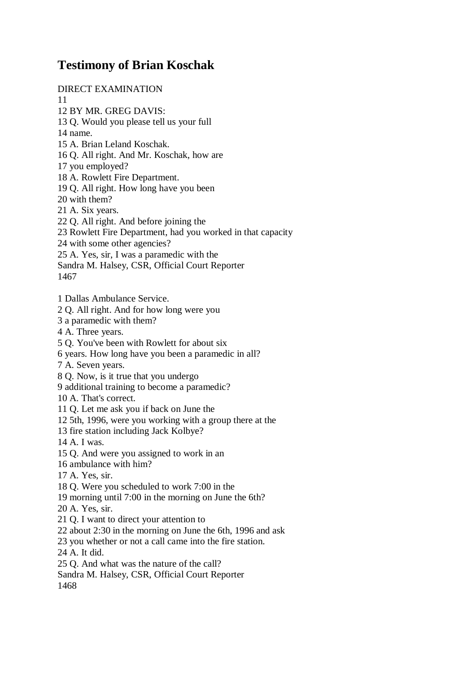## **Testimony of Brian Koschak**

DIRECT EXAMINATION

11

12 BY MR. GREG DAVIS:

13 Q. Would you please tell us your full

14 name.

15 A. Brian Leland Koschak.

16 Q. All right. And Mr. Koschak, how are

17 you employed?

18 A. Rowlett Fire Department.

19 Q. All right. How long have you been

20 with them?

21 A. Six years.

22 Q. All right. And before joining the

23 Rowlett Fire Department, had you worked in that capacity

24 with some other agencies?

25 A. Yes, sir, I was a paramedic with the

Sandra M. Halsey, CSR, Official Court Reporter

1467

1 Dallas Ambulance Service.

2 Q. All right. And for how long were you

3 a paramedic with them?

4 A. Three years.

5 Q. You've been with Rowlett for about six

6 years. How long have you been a paramedic in all?

7 A. Seven years.

8 Q. Now, is it true that you undergo

9 additional training to become a paramedic?

10 A. That's correct.

11 Q. Let me ask you if back on June the

12 5th, 1996, were you working with a group there at the

13 fire station including Jack Kolbye?

14 A. I was.

15 Q. And were you assigned to work in an

16 ambulance with him?

17 A. Yes, sir.

18 Q. Were you scheduled to work 7:00 in the

19 morning until 7:00 in the morning on June the 6th?

20 A. Yes, sir.

21 Q. I want to direct your attention to

22 about 2:30 in the morning on June the 6th, 1996 and ask

23 you whether or not a call came into the fire station.

24 A. It did.

25 Q. And what was the nature of the call?

Sandra M. Halsey, CSR, Official Court Reporter

1468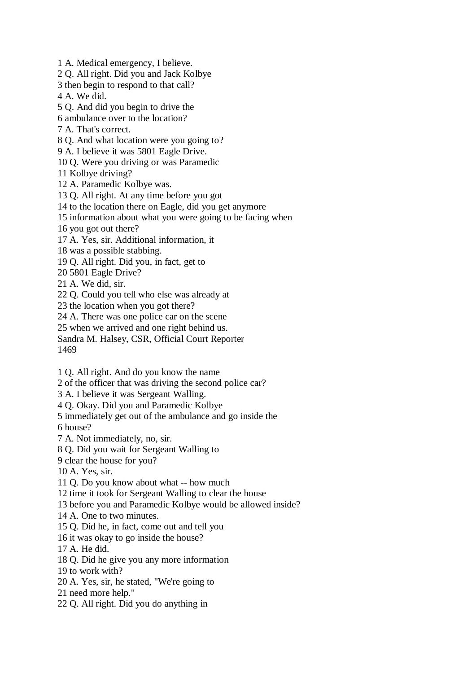1 A. Medical emergency, I believe.

2 Q. All right. Did you and Jack Kolbye

3 then begin to respond to that call?

4 A. We did.

5 Q. And did you begin to drive the

6 ambulance over to the location?

7 A. That's correct.

8 Q. And what location were you going to?

9 A. I believe it was 5801 Eagle Drive.

10 Q. Were you driving or was Paramedic

11 Kolbye driving?

12 A. Paramedic Kolbye was.

13 Q. All right. At any time before you got

14 to the location there on Eagle, did you get anymore

15 information about what you were going to be facing when

16 you got out there?

17 A. Yes, sir. Additional information, it

18 was a possible stabbing.

19 Q. All right. Did you, in fact, get to

20 5801 Eagle Drive?

21 A. We did, sir.

22 Q. Could you tell who else was already at

23 the location when you got there?

24 A. There was one police car on the scene

25 when we arrived and one right behind us.

Sandra M. Halsey, CSR, Official Court Reporter 1469

1 Q. All right. And do you know the name

2 of the officer that was driving the second police car?

3 A. I believe it was Sergeant Walling.

4 Q. Okay. Did you and Paramedic Kolbye

5 immediately get out of the ambulance and go inside the

6 house?

7 A. Not immediately, no, sir.

8 Q. Did you wait for Sergeant Walling to

9 clear the house for you?

10 A. Yes, sir.

11 Q. Do you know about what -- how much

12 time it took for Sergeant Walling to clear the house

13 before you and Paramedic Kolbye would be allowed inside?

14 A. One to two minutes.

15 Q. Did he, in fact, come out and tell you

16 it was okay to go inside the house?

17 A. He did.

18 Q. Did he give you any more information

19 to work with?

20 A. Yes, sir, he stated, "We're going to

21 need more help."

22 Q. All right. Did you do anything in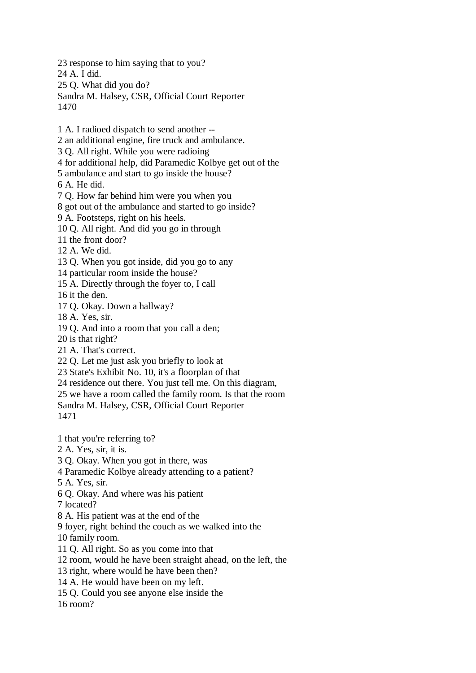23 response to him saying that to you? 24 A. I did. 25 Q. What did you do? Sandra M. Halsey, CSR, Official Court Reporter 1470

1 A. I radioed dispatch to send another -- 2 an additional engine, fire truck and ambulance. 3 Q. All right. While you were radioing 4 for additional help, did Paramedic Kolbye get out of the 5 ambulance and start to go inside the house? 6 A. He did.

7 Q. How far behind him were you when you

8 got out of the ambulance and started to go inside?

9 A. Footsteps, right on his heels.

10 Q. All right. And did you go in through

11 the front door?

12 A. We did.

13 Q. When you got inside, did you go to any

14 particular room inside the house?

15 A. Directly through the foyer to, I call

16 it the den.

17 Q. Okay. Down a hallway?

18 A. Yes, sir.

19 Q. And into a room that you call a den;

20 is that right?

21 A. That's correct.

22 Q. Let me just ask you briefly to look at

23 State's Exhibit No. 10, it's a floorplan of that

24 residence out there. You just tell me. On this diagram,

25 we have a room called the family room. Is that the room

Sandra M. Halsey, CSR, Official Court Reporter

1471

1 that you're referring to?

2 A. Yes, sir, it is.

3 Q. Okay. When you got in there, was

4 Paramedic Kolbye already attending to a patient?

5 A. Yes, sir.

6 Q. Okay. And where was his patient

7 located?

8 A. His patient was at the end of the

9 foyer, right behind the couch as we walked into the

10 family room.

11 Q. All right. So as you come into that

12 room, would he have been straight ahead, on the left, the

13 right, where would he have been then?

14 A. He would have been on my left.

15 Q. Could you see anyone else inside the

16 room?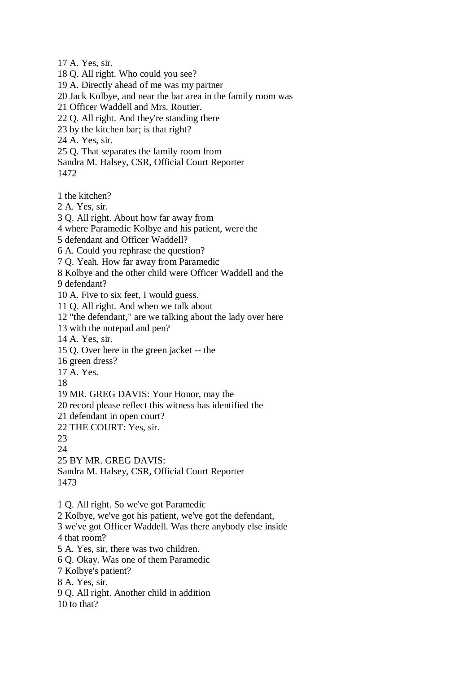17 A. Yes, sir. 18 Q. All right. Who could you see? 19 A. Directly ahead of me was my partner 20 Jack Kolbye, and near the bar area in the family room was 21 Officer Waddell and Mrs. Routier. 22 Q. All right. And they're standing there 23 by the kitchen bar; is that right? 24 A. Yes, sir. 25 Q. That separates the family room from Sandra M. Halsey, CSR, Official Court Reporter 1472 1 the kitchen? 2 A. Yes, sir. 3 Q. All right. About how far away from 4 where Paramedic Kolbye and his patient, were the 5 defendant and Officer Waddell? 6 A. Could you rephrase the question? 7 Q. Yeah. How far away from Paramedic 8 Kolbye and the other child were Officer Waddell and the 9 defendant? 10 A. Five to six feet, I would guess. 11 Q. All right. And when we talk about 12 "the defendant," are we talking about the lady over here 13 with the notepad and pen? 14 A. Yes, sir. 15 Q. Over here in the green jacket -- the 16 green dress? 17 A. Yes. 18 19 MR. GREG DAVIS: Your Honor, may the 20 record please reflect this witness has identified the 21 defendant in open court? 22 THE COURT: Yes, sir. 23 24 25 BY MR. GREG DAVIS: Sandra M. Halsey, CSR, Official Court Reporter 1473 1 Q. All right. So we've got Paramedic 2 Kolbye, we've got his patient, we've got the defendant, 3 we've got Officer Waddell. Was there anybody else inside 4 that room? 5 A. Yes, sir, there was two children. 6 Q. Okay. Was one of them Paramedic 7 Kolbye's patient? 8 A. Yes, sir. 9 Q. All right. Another child in addition 10 to that?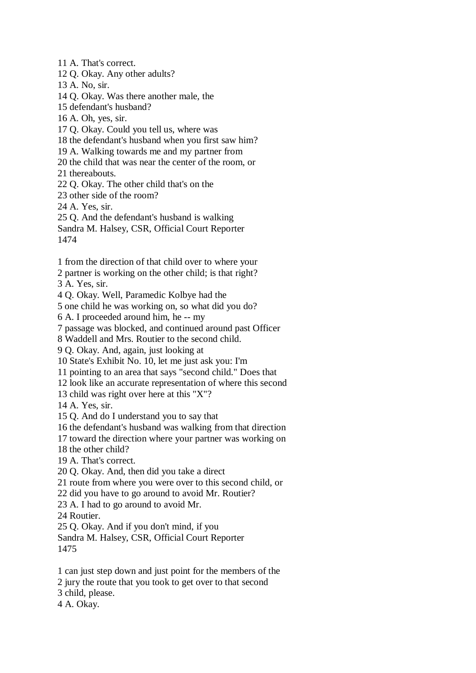11 A. That's correct. 12 Q. Okay. Any other adults? 13 A. No, sir. 14 Q. Okay. Was there another male, the 15 defendant's husband? 16 A. Oh, yes, sir. 17 Q. Okay. Could you tell us, where was 18 the defendant's husband when you first saw him? 19 A. Walking towards me and my partner from 20 the child that was near the center of the room, or 21 thereabouts. 22 Q. Okay. The other child that's on the 23 other side of the room? 24 A. Yes, sir. 25 Q. And the defendant's husband is walking Sandra M. Halsey, CSR, Official Court Reporter 1474

- 1 from the direction of that child over to where your
- 2 partner is working on the other child; is that right?

3 A. Yes, sir.

4 Q. Okay. Well, Paramedic Kolbye had the

5 one child he was working on, so what did you do?

6 A. I proceeded around him, he -- my

7 passage was blocked, and continued around past Officer

8 Waddell and Mrs. Routier to the second child.

9 Q. Okay. And, again, just looking at

10 State's Exhibit No. 10, let me just ask you: I'm

11 pointing to an area that says "second child." Does that

12 look like an accurate representation of where this second

13 child was right over here at this "X"?

14 A. Yes, sir.

15 Q. And do I understand you to say that

16 the defendant's husband was walking from that direction

17 toward the direction where your partner was working on

18 the other child?

19 A. That's correct.

20 Q. Okay. And, then did you take a direct

21 route from where you were over to this second child, or

22 did you have to go around to avoid Mr. Routier?

23 A. I had to go around to avoid Mr.

24 Routier.

25 Q. Okay. And if you don't mind, if you

Sandra M. Halsey, CSR, Official Court Reporter 1475

1 can just step down and just point for the members of the

2 jury the route that you took to get over to that second

3 child, please.

4 A. Okay.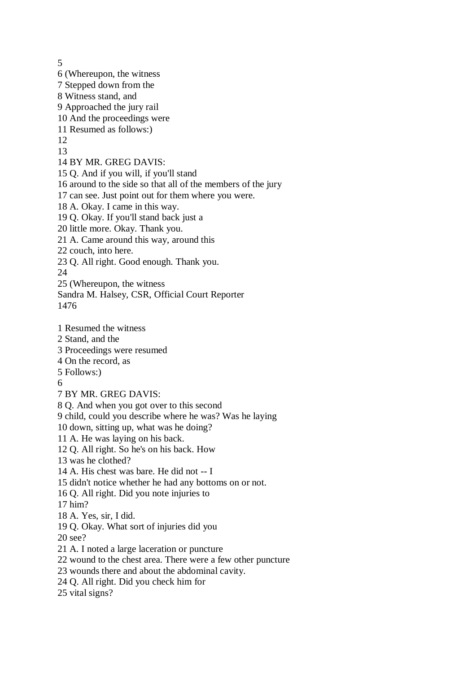5 6 (Whereupon, the witness 7 Stepped down from the 8 Witness stand, and 9 Approached the jury rail 10 And the proceedings were 11 Resumed as follows:) 12 13 14 BY MR. GREG DAVIS: 15 Q. And if you will, if you'll stand 16 around to the side so that all of the members of the jury 17 can see. Just point out for them where you were. 18 A. Okay. I came in this way. 19 Q. Okay. If you'll stand back just a 20 little more. Okay. Thank you. 21 A. Came around this way, around this 22 couch, into here. 23 Q. All right. Good enough. Thank you. 24 25 (Whereupon, the witness Sandra M. Halsey, CSR, Official Court Reporter 1476 1 Resumed the witness 2 Stand, and the 3 Proceedings were resumed 4 On the record, as 5 Follows:) 6 7 BY MR. GREG DAVIS: 8 Q. And when you got over to this second 9 child, could you describe where he was? Was he laying 10 down, sitting up, what was he doing? 11 A. He was laying on his back. 12 Q. All right. So he's on his back. How 13 was he clothed? 14 A. His chest was bare. He did not -- I 15 didn't notice whether he had any bottoms on or not. 16 Q. All right. Did you note injuries to 17 him? 18 A. Yes, sir, I did. 19 Q. Okay. What sort of injuries did you 20 see? 21 A. I noted a large laceration or puncture 22 wound to the chest area. There were a few other puncture 23 wounds there and about the abdominal cavity. 24 Q. All right. Did you check him for 25 vital signs?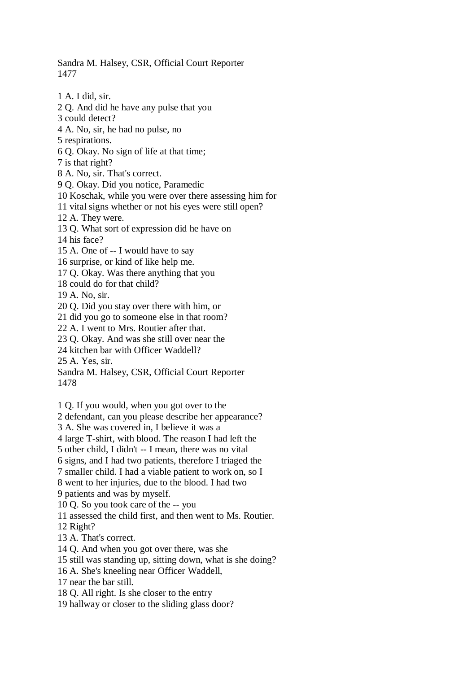Sandra M. Halsey, CSR, Official Court Reporter 1477

1 A. I did, sir. 2 Q. And did he have any pulse that you 3 could detect? 4 A. No, sir, he had no pulse, no 5 respirations. 6 Q. Okay. No sign of life at that time; 7 is that right? 8 A. No, sir. That's correct. 9 Q. Okay. Did you notice, Paramedic 10 Koschak, while you were over there assessing him for 11 vital signs whether or not his eyes were still open? 12 A. They were. 13 Q. What sort of expression did he have on 14 his face? 15 A. One of -- I would have to say 16 surprise, or kind of like help me. 17 Q. Okay. Was there anything that you 18 could do for that child? 19 A. No, sir. 20 Q. Did you stay over there with him, or 21 did you go to someone else in that room? 22 A. I went to Mrs. Routier after that. 23 Q. Okay. And was she still over near the 24 kitchen bar with Officer Waddell? 25 A. Yes, sir. Sandra M. Halsey, CSR, Official Court Reporter 1478 1 Q. If you would, when you got over to the 2 defendant, can you please describe her appearance? 3 A. She was covered in, I believe it was a 4 large T-shirt, with blood. The reason I had left the

5 other child, I didn't -- I mean, there was no vital

6 signs, and I had two patients, therefore I triaged the

7 smaller child. I had a viable patient to work on, so I

8 went to her injuries, due to the blood. I had two

9 patients and was by myself.

10 Q. So you took care of the -- you

11 assessed the child first, and then went to Ms. Routier.

12 Right?

13 A. That's correct.

14 Q. And when you got over there, was she

15 still was standing up, sitting down, what is she doing?

16 A. She's kneeling near Officer Waddell,

17 near the bar still.

18 Q. All right. Is she closer to the entry

19 hallway or closer to the sliding glass door?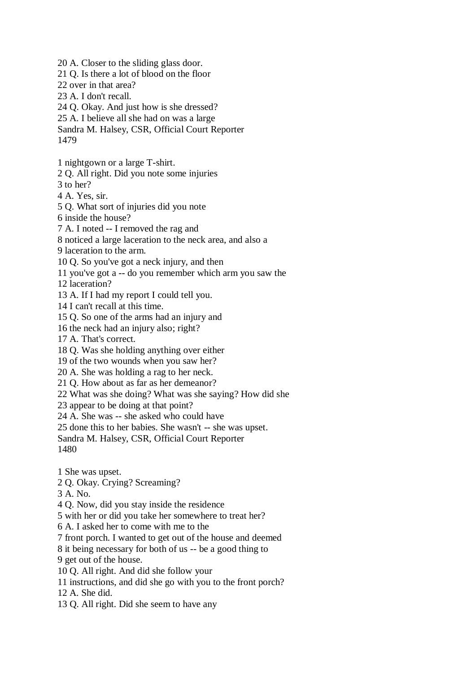20 A. Closer to the sliding glass door. 21 Q. Is there a lot of blood on the floor 22 over in that area? 23 A. I don't recall. 24 Q. Okay. And just how is she dressed? 25 A. I believe all she had on was a large Sandra M. Halsey, CSR, Official Court Reporter 1479 1 nightgown or a large T-shirt. 2 Q. All right. Did you note some injuries 3 to her? 4 A. Yes, sir. 5 Q. What sort of injuries did you note 6 inside the house? 7 A. I noted -- I removed the rag and 8 noticed a large laceration to the neck area, and also a 9 laceration to the arm. 10 Q. So you've got a neck injury, and then 11 you've got a -- do you remember which arm you saw the 12 laceration? 13 A. If I had my report I could tell you. 14 I can't recall at this time. 15 Q. So one of the arms had an injury and 16 the neck had an injury also; right? 17 A. That's correct. 18 Q. Was she holding anything over either 19 of the two wounds when you saw her? 20 A. She was holding a rag to her neck. 21 Q. How about as far as her demeanor? 22 What was she doing? What was she saying? How did she 23 appear to be doing at that point? 24 A. She was -- she asked who could have 25 done this to her babies. She wasn't -- she was upset. Sandra M. Halsey, CSR, Official Court Reporter 1480 1 She was upset. 2 Q. Okay. Crying? Screaming? 3 A. No. 4 Q. Now, did you stay inside the residence 5 with her or did you take her somewhere to treat her? 6 A. I asked her to come with me to the 7 front porch. I wanted to get out of the house and deemed 8 it being necessary for both of us -- be a good thing to 9 get out of the house. 10 Q. All right. And did she follow your

11 instructions, and did she go with you to the front porch?

12 A. She did.

13 Q. All right. Did she seem to have any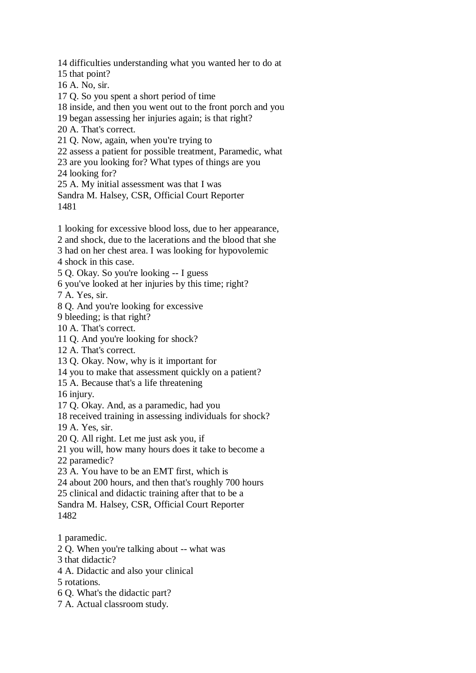14 difficulties understanding what you wanted her to do at 15 that point? 16 A. No, sir. 17 Q. So you spent a short period of time 18 inside, and then you went out to the front porch and you 19 began assessing her injuries again; is that right? 20 A. That's correct. 21 Q. Now, again, when you're trying to 22 assess a patient for possible treatment, Paramedic, what 23 are you looking for? What types of things are you 24 looking for? 25 A. My initial assessment was that I was Sandra M. Halsey, CSR, Official Court Reporter 1481 1 looking for excessive blood loss, due to her appearance, 2 and shock, due to the lacerations and the blood that she 3 had on her chest area. I was looking for hypovolemic 4 shock in this case. 5 Q. Okay. So you're looking -- I guess 6 you've looked at her injuries by this time; right? 7 A. Yes, sir. 8 Q. And you're looking for excessive 9 bleeding; is that right? 10 A. That's correct. 11 Q. And you're looking for shock? 12 A. That's correct. 13 Q. Okay. Now, why is it important for 14 you to make that assessment quickly on a patient? 15 A. Because that's a life threatening 16 injury. 17 Q. Okay. And, as a paramedic, had you 18 received training in assessing individuals for shock? 19 A. Yes, sir. 20 Q. All right. Let me just ask you, if 21 you will, how many hours does it take to become a 22 paramedic? 23 A. You have to be an EMT first, which is 24 about 200 hours, and then that's roughly 700 hours 25 clinical and didactic training after that to be a Sandra M. Halsey, CSR, Official Court Reporter 1482 1 paramedic. 2 Q. When you're talking about -- what was 3 that didactic? 4 A. Didactic and also your clinical

- 5 rotations.
- 6 Q. What's the didactic part?
- 7 A. Actual classroom study.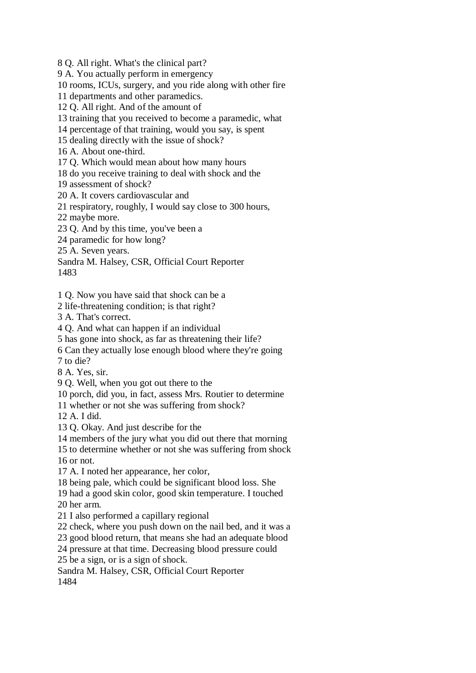8 Q. All right. What's the clinical part?

9 A. You actually perform in emergency

10 rooms, ICUs, surgery, and you ride along with other fire

11 departments and other paramedics.

12 Q. All right. And of the amount of

13 training that you received to become a paramedic, what

14 percentage of that training, would you say, is spent

15 dealing directly with the issue of shock?

16 A. About one-third.

17 Q. Which would mean about how many hours

18 do you receive training to deal with shock and the

19 assessment of shock?

20 A. It covers cardiovascular and

21 respiratory, roughly, I would say close to 300 hours,

22 maybe more.

23 Q. And by this time, you've been a

24 paramedic for how long?

25 A. Seven years.

Sandra M. Halsey, CSR, Official Court Reporter 1483

1 Q. Now you have said that shock can be a

2 life-threatening condition; is that right?

3 A. That's correct.

4 Q. And what can happen if an individual

5 has gone into shock, as far as threatening their life?

6 Can they actually lose enough blood where they're going

7 to die?

8 A. Yes, sir.

9 Q. Well, when you got out there to the

10 porch, did you, in fact, assess Mrs. Routier to determine

11 whether or not she was suffering from shock?

12 A. I did.

13 Q. Okay. And just describe for the

14 members of the jury what you did out there that morning

15 to determine whether or not she was suffering from shock 16 or not.

17 A. I noted her appearance, her color,

18 being pale, which could be significant blood loss. She

19 had a good skin color, good skin temperature. I touched 20 her arm.

21 I also performed a capillary regional

22 check, where you push down on the nail bed, and it was a

23 good blood return, that means she had an adequate blood

24 pressure at that time. Decreasing blood pressure could

25 be a sign, or is a sign of shock.

Sandra M. Halsey, CSR, Official Court Reporter

1484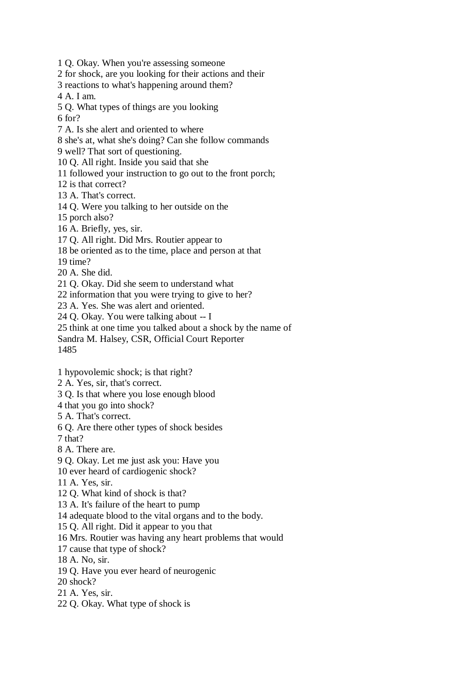1 Q. Okay. When you're assessing someone

2 for shock, are you looking for their actions and their

3 reactions to what's happening around them?

4 A. I am.

5 Q. What types of things are you looking

6 for?

7 A. Is she alert and oriented to where

8 she's at, what she's doing? Can she follow commands

9 well? That sort of questioning.

10 Q. All right. Inside you said that she

11 followed your instruction to go out to the front porch;

12 is that correct?

13 A. That's correct.

14 Q. Were you talking to her outside on the

15 porch also?

16 A. Briefly, yes, sir.

17 Q. All right. Did Mrs. Routier appear to

18 be oriented as to the time, place and person at that

19 time?

20 A. She did.

21 Q. Okay. Did she seem to understand what

22 information that you were trying to give to her?

23 A. Yes. She was alert and oriented.

24 Q. Okay. You were talking about -- I

25 think at one time you talked about a shock by the name of

Sandra M. Halsey, CSR, Official Court Reporter

1485

1 hypovolemic shock; is that right?

2 A. Yes, sir, that's correct.

3 Q. Is that where you lose enough blood

4 that you go into shock?

5 A. That's correct.

6 Q. Are there other types of shock besides

7 that?

8 A. There are.

9 Q. Okay. Let me just ask you: Have you

10 ever heard of cardiogenic shock?

11 A. Yes, sir.

12 Q. What kind of shock is that?

13 A. It's failure of the heart to pump

14 adequate blood to the vital organs and to the body.

15 Q. All right. Did it appear to you that

16 Mrs. Routier was having any heart problems that would

17 cause that type of shock?

18 A. No, sir.

19 Q. Have you ever heard of neurogenic

20 shock?

21 A. Yes, sir.

22 Q. Okay. What type of shock is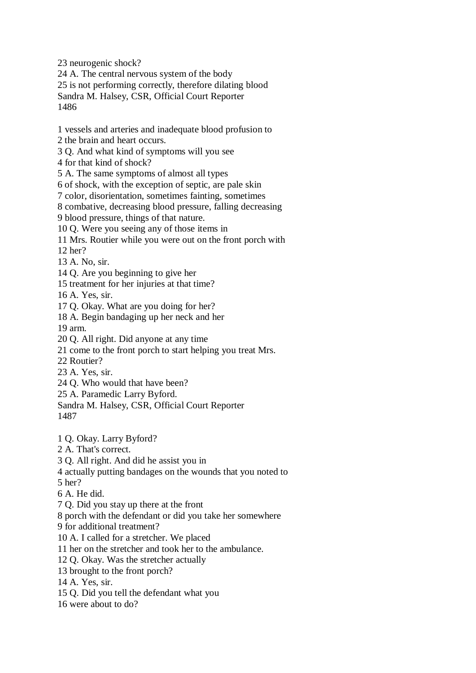23 neurogenic shock?

24 A. The central nervous system of the body 25 is not performing correctly, therefore dilating blood

Sandra M. Halsey, CSR, Official Court Reporter 1486

1 vessels and arteries and inadequate blood profusion to

2 the brain and heart occurs.

3 Q. And what kind of symptoms will you see

4 for that kind of shock?

5 A. The same symptoms of almost all types

6 of shock, with the exception of septic, are pale skin

7 color, disorientation, sometimes fainting, sometimes

8 combative, decreasing blood pressure, falling decreasing

9 blood pressure, things of that nature.

10 Q. Were you seeing any of those items in

11 Mrs. Routier while you were out on the front porch with

12 her?

13 A. No, sir.

14 Q. Are you beginning to give her

15 treatment for her injuries at that time?

16 A. Yes, sir.

17 Q. Okay. What are you doing for her?

18 A. Begin bandaging up her neck and her

19 arm.

20 Q. All right. Did anyone at any time

21 come to the front porch to start helping you treat Mrs.

22 Routier?

23 A. Yes, sir.

24 Q. Who would that have been?

25 A. Paramedic Larry Byford.

Sandra M. Halsey, CSR, Official Court Reporter 1487

1 Q. Okay. Larry Byford?

2 A. That's correct.

3 Q. All right. And did he assist you in

4 actually putting bandages on the wounds that you noted to

5 her?

6 A. He did.

7 Q. Did you stay up there at the front

8 porch with the defendant or did you take her somewhere

9 for additional treatment?

10 A. I called for a stretcher. We placed

11 her on the stretcher and took her to the ambulance.

12 Q. Okay. Was the stretcher actually

13 brought to the front porch?

14 A. Yes, sir.

15 Q. Did you tell the defendant what you

16 were about to do?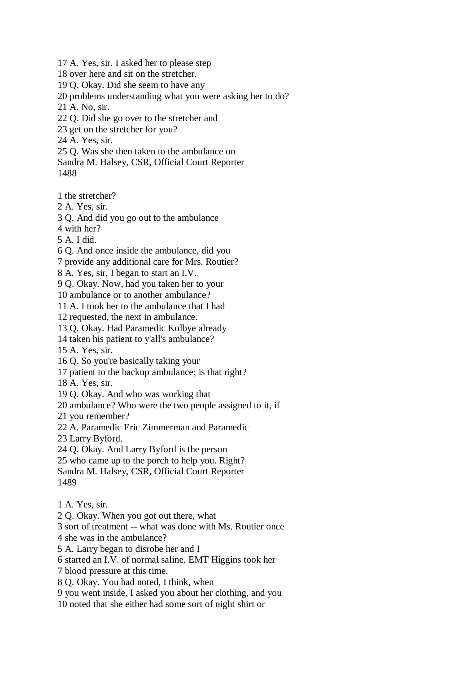17 A. Yes, sir. I asked her to please step 18 over here and sit on the stretcher. 19 Q. Okay. Did she seem to have any 20 problems understanding what you were asking her to do? 21 A. No, sir. 22 Q. Did she go over to the stretcher and 23 get on the stretcher for you? 24 A. Yes, sir. 25 Q. Was she then taken to the ambulance on Sandra M. Halsey, CSR, Official Court Reporter 1488

1 the stretcher?

2 A. Yes, sir.

3 Q. And did you go out to the ambulance

4 with her?

5 A. I did.

6 Q. And once inside the ambulance, did you

7 provide any additional care for Mrs. Routier?

8 A. Yes, sir, I began to start an I.V.

9 Q. Okay. Now, had you taken her to your

10 ambulance or to another ambulance?

11 A. I took her to the ambulance that I had

12 requested, the next in ambulance.

13 Q. Okay. Had Paramedic Kolbye already

14 taken his patient to y'all's ambulance?

15 A. Yes, sir.

16 Q. So you're basically taking your

17 patient to the backup ambulance; is that right?

18 A. Yes, sir.

19 Q. Okay. And who was working that

20 ambulance? Who were the two people assigned to it, if

21 you remember?

22 A. Paramedic Eric Zimmerman and Paramedic

23 Larry Byford.

24 Q. Okay. And Larry Byford is the person

25 who came up to the porch to help you. Right?

Sandra M. Halsey, CSR, Official Court Reporter 1489

1 A. Yes, sir.

2 Q. Okay. When you got out there, what

3 sort of treatment -- what was done with Ms. Routier once

4 she was in the ambulance?

5 A. Larry began to disrobe her and I

6 started an I.V. of normal saline. EMT Higgins took her

7 blood pressure at this time.

8 Q. Okay. You had noted, I think, when

9 you went inside, I asked you about her clothing, and you

10 noted that she either had some sort of night shirt or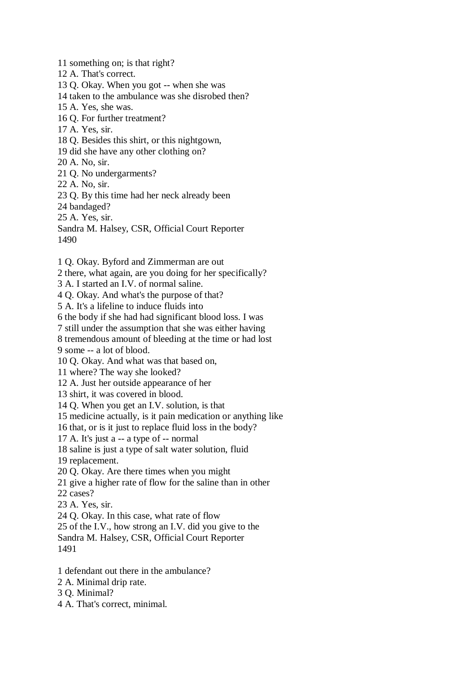11 something on; is that right? 12 A. That's correct. 13 Q. Okay. When you got -- when she was 14 taken to the ambulance was she disrobed then? 15 A. Yes, she was. 16 Q. For further treatment? 17 A. Yes, sir. 18 Q. Besides this shirt, or this nightgown, 19 did she have any other clothing on? 20 A. No, sir. 21 Q. No undergarments? 22 A. No, sir. 23 Q. By this time had her neck already been 24 bandaged? 25 A. Yes, sir. Sandra M. Halsey, CSR, Official Court Reporter 1490 1 Q. Okay. Byford and Zimmerman are out

2 there, what again, are you doing for her specifically?

3 A. I started an I.V. of normal saline.

4 Q. Okay. And what's the purpose of that?

5 A. It's a lifeline to induce fluids into

6 the body if she had had significant blood loss. I was

7 still under the assumption that she was either having

8 tremendous amount of bleeding at the time or had lost

9 some -- a lot of blood.

10 Q. Okay. And what was that based on,

11 where? The way she looked?

12 A. Just her outside appearance of her

13 shirt, it was covered in blood.

14 Q. When you get an I.V. solution, is that

15 medicine actually, is it pain medication or anything like

16 that, or is it just to replace fluid loss in the body?

17 A. It's just a -- a type of -- normal

18 saline is just a type of salt water solution, fluid

19 replacement.

20 Q. Okay. Are there times when you might

21 give a higher rate of flow for the saline than in other

22 cases?

23 A. Yes, sir.

24 Q. Okay. In this case, what rate of flow

25 of the I.V., how strong an I.V. did you give to the

Sandra M. Halsey, CSR, Official Court Reporter 1491

1 defendant out there in the ambulance?

2 A. Minimal drip rate.

3 Q. Minimal?

4 A. That's correct, minimal.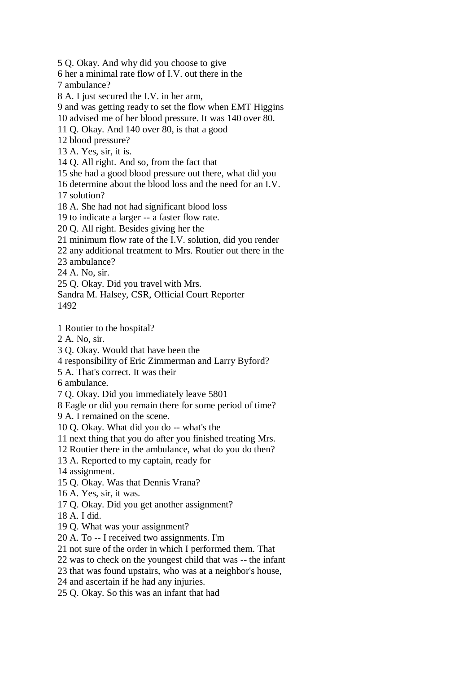5 Q. Okay. And why did you choose to give 6 her a minimal rate flow of I.V. out there in the 7 ambulance? 8 A. I just secured the I.V. in her arm, 9 and was getting ready to set the flow when EMT Higgins 10 advised me of her blood pressure. It was 140 over 80. 11 Q. Okay. And 140 over 80, is that a good 12 blood pressure? 13 A. Yes, sir, it is. 14 Q. All right. And so, from the fact that 15 she had a good blood pressure out there, what did you 16 determine about the blood loss and the need for an I.V. 17 solution? 18 A. She had not had significant blood loss 19 to indicate a larger -- a faster flow rate. 20 Q. All right. Besides giving her the 21 minimum flow rate of the I.V. solution, did you render 22 any additional treatment to Mrs. Routier out there in the 23 ambulance? 24 A. No, sir. 25 Q. Okay. Did you travel with Mrs. Sandra M. Halsey, CSR, Official Court Reporter 1492 1 Routier to the hospital? 2 A. No, sir. 3 Q. Okay. Would that have been the 4 responsibility of Eric Zimmerman and Larry Byford? 5 A. That's correct. It was their 6 ambulance. 7 Q. Okay. Did you immediately leave 5801 8 Eagle or did you remain there for some period of time? 9 A. I remained on the scene. 10 Q. Okay. What did you do -- what's the 11 next thing that you do after you finished treating Mrs. 12 Routier there in the ambulance, what do you do then? 13 A. Reported to my captain, ready for 14 assignment. 15 Q. Okay. Was that Dennis Vrana? 16 A. Yes, sir, it was.

17 Q. Okay. Did you get another assignment?

18 A. I did.

- 19 Q. What was your assignment?
- 20 A. To -- I received two assignments. I'm
- 21 not sure of the order in which I performed them. That
- 22 was to check on the youngest child that was -- the infant
- 23 that was found upstairs, who was at a neighbor's house,
- 24 and ascertain if he had any injuries.
- 25 Q. Okay. So this was an infant that had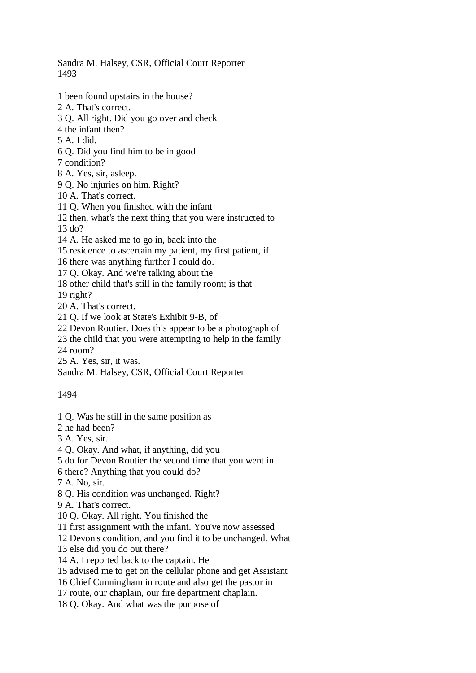Sandra M. Halsey, CSR, Official Court Reporter 1493

1 been found upstairs in the house? 2 A. That's correct. 3 Q. All right. Did you go over and check 4 the infant then? 5 A. I did. 6 Q. Did you find him to be in good 7 condition? 8 A. Yes, sir, asleep. 9 Q. No injuries on him. Right? 10 A. That's correct. 11 Q. When you finished with the infant 12 then, what's the next thing that you were instructed to 13 do? 14 A. He asked me to go in, back into the 15 residence to ascertain my patient, my first patient, if 16 there was anything further I could do. 17 Q. Okay. And we're talking about the 18 other child that's still in the family room; is that 19 right? 20 A. That's correct. 21 Q. If we look at State's Exhibit 9-B, of 22 Devon Routier. Does this appear to be a photograph of 23 the child that you were attempting to help in the family 24 room? 25 A. Yes, sir, it was. Sandra M. Halsey, CSR, Official Court Reporter

1494

- 1 Q. Was he still in the same position as
- 2 he had been?
- 3 A. Yes, sir.
- 4 Q. Okay. And what, if anything, did you
- 5 do for Devon Routier the second time that you went in
- 6 there? Anything that you could do?
- 7 A. No, sir.
- 8 Q. His condition was unchanged. Right?
- 9 A. That's correct.
- 10 Q. Okay. All right. You finished the
- 11 first assignment with the infant. You've now assessed
- 12 Devon's condition, and you find it to be unchanged. What
- 13 else did you do out there?
- 14 A. I reported back to the captain. He
- 15 advised me to get on the cellular phone and get Assistant
- 16 Chief Cunningham in route and also get the pastor in
- 17 route, our chaplain, our fire department chaplain.
- 18 Q. Okay. And what was the purpose of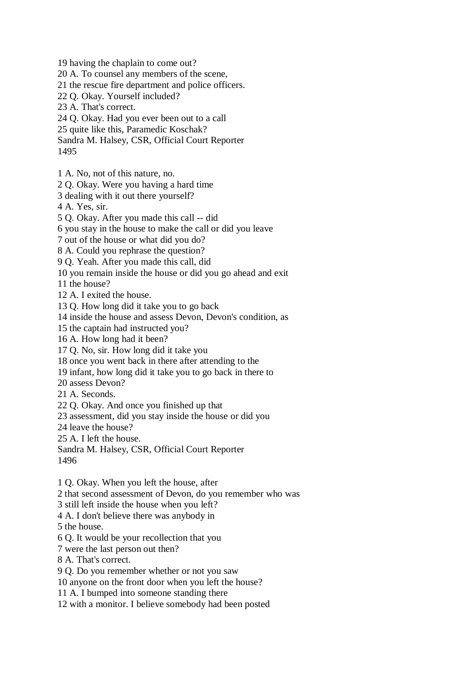19 having the chaplain to come out?

20 A. To counsel any members of the scene,

21 the rescue fire department and police officers.

22 Q. Okay. Yourself included?

23 A. That's correct.

24 Q. Okay. Had you ever been out to a call

25 quite like this, Paramedic Koschak?

Sandra M. Halsey, CSR, Official Court Reporter

1495

1 A. No, not of this nature, no.

2 Q. Okay. Were you having a hard time

3 dealing with it out there yourself?

4 A. Yes, sir.

5 Q. Okay. After you made this call -- did

6 you stay in the house to make the call or did you leave

7 out of the house or what did you do?

8 A. Could you rephrase the question?

9 Q. Yeah. After you made this call, did

10 you remain inside the house or did you go ahead and exit

11 the house?

12 A. I exited the house.

13 Q. How long did it take you to go back

14 inside the house and assess Devon, Devon's condition, as

15 the captain had instructed you?

16 A. How long had it been?

17 Q. No, sir. How long did it take you

18 once you went back in there after attending to the

19 infant, how long did it take you to go back in there to

20 assess Devon?

21 A. Seconds.

22 Q. Okay. And once you finished up that

23 assessment, did you stay inside the house or did you

24 leave the house?

25 A. I left the house.

Sandra M. Halsey, CSR, Official Court Reporter 1496

1 Q. Okay. When you left the house, after

2 that second assessment of Devon, do you remember who was

3 still left inside the house when you left?

4 A. I don't believe there was anybody in

5 the house.

6 Q. It would be your recollection that you

7 were the last person out then?

8 A. That's correct.

9 Q. Do you remember whether or not you saw

10 anyone on the front door when you left the house?

11 A. I bumped into someone standing there

12 with a monitor. I believe somebody had been posted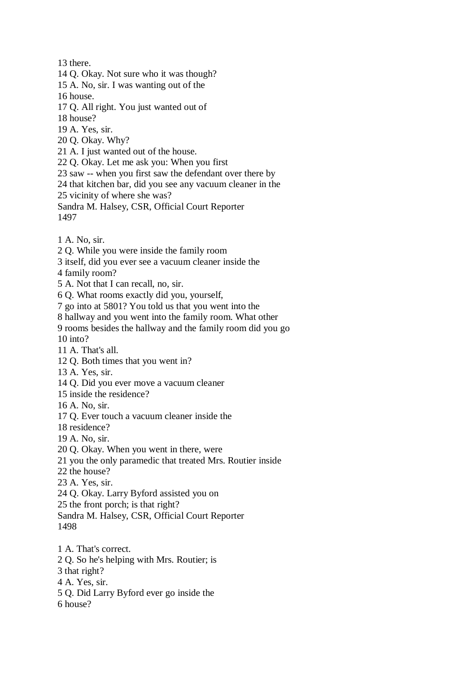13 there.

14 Q. Okay. Not sure who it was though?

15 A. No, sir. I was wanting out of the

16 house.

17 Q. All right. You just wanted out of

18 house?

19 A. Yes, sir.

20 Q. Okay. Why?

21 A. I just wanted out of the house.

22 Q. Okay. Let me ask you: When you first

23 saw -- when you first saw the defendant over there by

24 that kitchen bar, did you see any vacuum cleaner in the

25 vicinity of where she was?

Sandra M. Halsey, CSR, Official Court Reporter 1497

1 A. No, sir.

2 Q. While you were inside the family room

3 itself, did you ever see a vacuum cleaner inside the

4 family room?

5 A. Not that I can recall, no, sir.

6 Q. What rooms exactly did you, yourself,

7 go into at 5801? You told us that you went into the

8 hallway and you went into the family room. What other

9 rooms besides the hallway and the family room did you go

10 into?

11 A. That's all.

12 Q. Both times that you went in?

13 A. Yes, sir.

14 Q. Did you ever move a vacuum cleaner

15 inside the residence?

16 A. No, sir.

17 Q. Ever touch a vacuum cleaner inside the

18 residence?

19 A. No, sir.

20 Q. Okay. When you went in there, were

21 you the only paramedic that treated Mrs. Routier inside

22 the house?

23 A. Yes, sir.

24 Q. Okay. Larry Byford assisted you on

25 the front porch; is that right?

Sandra M. Halsey, CSR, Official Court Reporter 1498

1 A. That's correct. 2 Q. So he's helping with Mrs. Routier; is

3 that right?

4 A. Yes, sir.

5 Q. Did Larry Byford ever go inside the

6 house?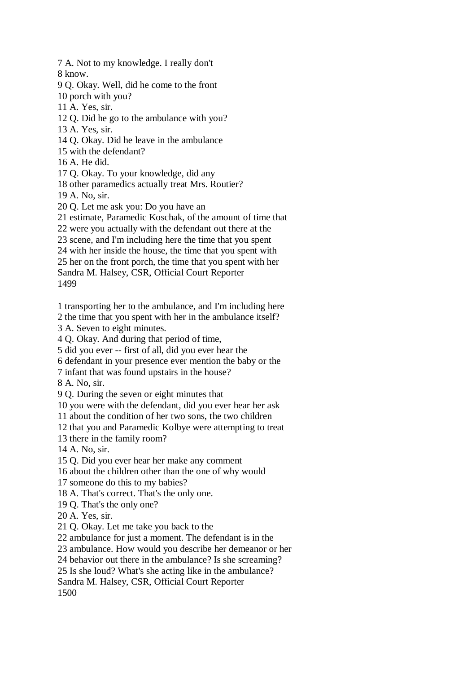7 A. Not to my knowledge. I really don't 8 know.

9 Q. Okay. Well, did he come to the front

10 porch with you?

11 A. Yes, sir.

12 Q. Did he go to the ambulance with you?

13 A. Yes, sir.

14 Q. Okay. Did he leave in the ambulance

15 with the defendant?

16 A. He did.

17 Q. Okay. To your knowledge, did any

18 other paramedics actually treat Mrs. Routier?

19 A. No, sir.

20 Q. Let me ask you: Do you have an

21 estimate, Paramedic Koschak, of the amount of time that

22 were you actually with the defendant out there at the

23 scene, and I'm including here the time that you spent

24 with her inside the house, the time that you spent with

25 her on the front porch, the time that you spent with her

Sandra M. Halsey, CSR, Official Court Reporter 1499

1 transporting her to the ambulance, and I'm including here

2 the time that you spent with her in the ambulance itself?

3 A. Seven to eight minutes.

4 Q. Okay. And during that period of time,

5 did you ever -- first of all, did you ever hear the

6 defendant in your presence ever mention the baby or the

7 infant that was found upstairs in the house?

8 A. No, sir.

9 Q. During the seven or eight minutes that

10 you were with the defendant, did you ever hear her ask

11 about the condition of her two sons, the two children

12 that you and Paramedic Kolbye were attempting to treat

13 there in the family room?

14 A. No, sir.

15 Q. Did you ever hear her make any comment

16 about the children other than the one of why would

17 someone do this to my babies?

18 A. That's correct. That's the only one.

19 Q. That's the only one?

20 A. Yes, sir.

21 Q. Okay. Let me take you back to the

22 ambulance for just a moment. The defendant is in the

23 ambulance. How would you describe her demeanor or her

24 behavior out there in the ambulance? Is she screaming?

25 Is she loud? What's she acting like in the ambulance?

Sandra M. Halsey, CSR, Official Court Reporter

1500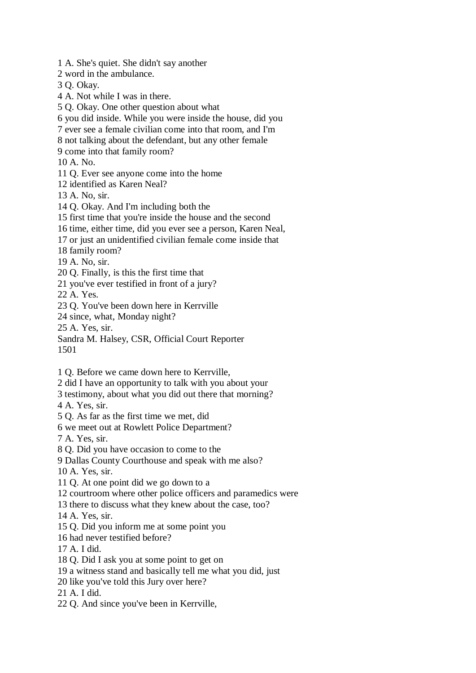1 A. She's quiet. She didn't say another 2 word in the ambulance. 3 Q. Okay. 4 A. Not while I was in there. 5 Q. Okay. One other question about what 6 you did inside. While you were inside the house, did you 7 ever see a female civilian come into that room, and I'm 8 not talking about the defendant, but any other female 9 come into that family room? 10 A. No. 11 Q. Ever see anyone come into the home 12 identified as Karen Neal? 13 A. No, sir. 14 Q. Okay. And I'm including both the 15 first time that you're inside the house and the second 16 time, either time, did you ever see a person, Karen Neal, 17 or just an unidentified civilian female come inside that 18 family room? 19 A. No, sir. 20 Q. Finally, is this the first time that 21 you've ever testified in front of a jury? 22 A. Yes. 23 Q. You've been down here in Kerrville 24 since, what, Monday night? 25 A. Yes, sir. Sandra M. Halsey, CSR, Official Court Reporter 1501 1 Q. Before we came down here to Kerrville, 2 did I have an opportunity to talk with you about your 3 testimony, about what you did out there that morning? 4 A. Yes, sir. 5 Q. As far as the first time we met, did 6 we meet out at Rowlett Police Department? 7 A. Yes, sir. 8 Q. Did you have occasion to come to the 9 Dallas County Courthouse and speak with me also? 10 A. Yes, sir. 11 Q. At one point did we go down to a 12 courtroom where other police officers and paramedics were 13 there to discuss what they knew about the case, too? 14 A. Yes, sir. 15 Q. Did you inform me at some point you 16 had never testified before? 17 A. I did. 18 Q. Did I ask you at some point to get on 19 a witness stand and basically tell me what you did, just 20 like you've told this Jury over here?

21 A. I did.

22 Q. And since you've been in Kerrville,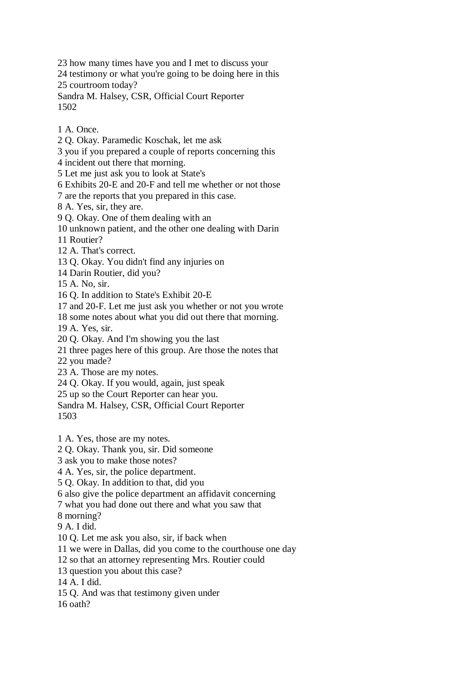23 how many times have you and I met to discuss your

24 testimony or what you're going to be doing here in this 25 courtroom today?

Sandra M. Halsey, CSR, Official Court Reporter 1502

1 A. Once.

2 Q. Okay. Paramedic Koschak, let me ask

3 you if you prepared a couple of reports concerning this

4 incident out there that morning.

5 Let me just ask you to look at State's

6 Exhibits 20-E and 20-F and tell me whether or not those

7 are the reports that you prepared in this case.

8 A. Yes, sir, they are.

9 Q. Okay. One of them dealing with an

10 unknown patient, and the other one dealing with Darin

11 Routier?

12 A. That's correct.

13 Q. Okay. You didn't find any injuries on

14 Darin Routier, did you?

15 A. No, sir.

16 Q. In addition to State's Exhibit 20-E

17 and 20-F. Let me just ask you whether or not you wrote

18 some notes about what you did out there that morning.

19 A. Yes, sir.

20 Q. Okay. And I'm showing you the last

21 three pages here of this group. Are those the notes that

22 you made?

23 A. Those are my notes.

24 Q. Okay. If you would, again, just speak

25 up so the Court Reporter can hear you.

Sandra M. Halsey, CSR, Official Court Reporter 1503

1 A. Yes, those are my notes.

2 Q. Okay. Thank you, sir. Did someone

3 ask you to make those notes?

4 A. Yes, sir, the police department.

5 Q. Okay. In addition to that, did you

6 also give the police department an affidavit concerning

7 what you had done out there and what you saw that

8 morning?

9 A. I did.

10 Q. Let me ask you also, sir, if back when

11 we were in Dallas, did you come to the courthouse one day

12 so that an attorney representing Mrs. Routier could

13 question you about this case?

14 A. I did.

15 Q. And was that testimony given under

16 oath?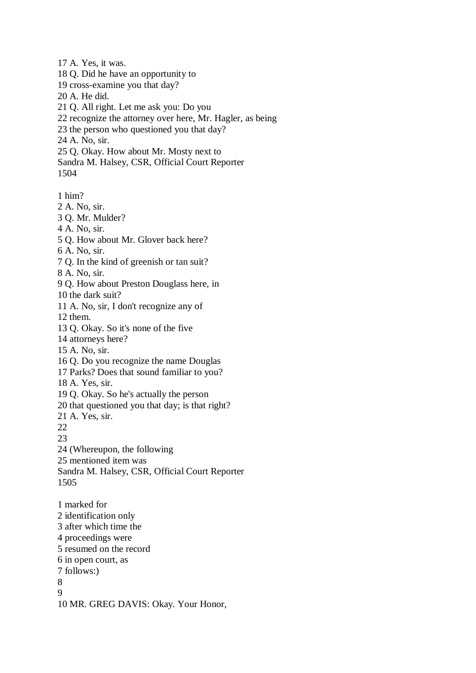17 A. Yes, it was. 18 Q. Did he have an opportunity to 19 cross-examine you that day? 20 A. He did. 21 Q. All right. Let me ask you: Do you 22 recognize the attorney over here, Mr. Hagler, as being 23 the person who questioned you that day? 24 A. No, sir. 25 Q. Okay. How about Mr. Mosty next to Sandra M. Halsey, CSR, Official Court Reporter 1504

1 him?

2 A. No, sir. 3 Q. Mr. Mulder? 4 A. No, sir. 5 Q. How about Mr. Glover back here? 6 A. No, sir. 7 Q. In the kind of greenish or tan suit? 8 A. No, sir. 9 Q. How about Preston Douglass here, in 10 the dark suit? 11 A. No, sir, I don't recognize any of 12 them. 13 Q. Okay. So it's none of the five 14 attorneys here? 15 A. No, sir. 16 Q. Do you recognize the name Douglas 17 Parks? Does that sound familiar to you? 18 A. Yes, sir. 19 Q. Okay. So he's actually the person 20 that questioned you that day; is that right? 21 A. Yes, sir. 22  $23$ 24 (Whereupon, the following 25 mentioned item was Sandra M. Halsey, CSR, Official Court Reporter 1505 1 marked for 2 identification only 3 after which time the 4 proceedings were 5 resumed on the record 6 in open court, as 7 follows:) 8 9

10 MR. GREG DAVIS: Okay. Your Honor,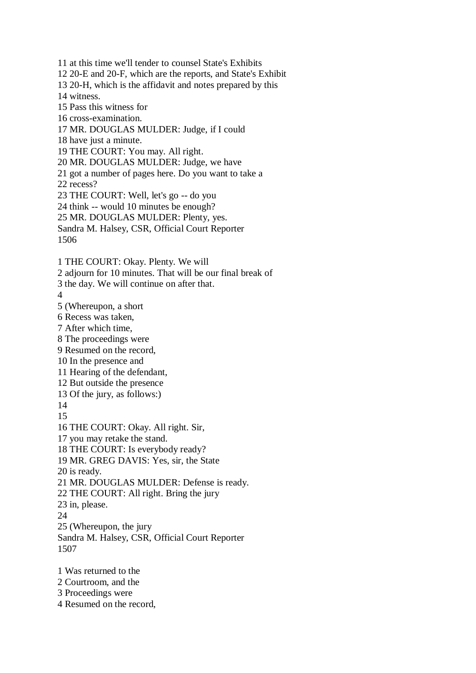11 at this time we'll tender to counsel State's Exhibits 12 20-E and 20-F, which are the reports, and State's Exhibit 13 20-H, which is the affidavit and notes prepared by this 14 witness. 15 Pass this witness for 16 cross-examination. 17 MR. DOUGLAS MULDER: Judge, if I could 18 have just a minute. 19 THE COURT: You may. All right. 20 MR. DOUGLAS MULDER: Judge, we have 21 got a number of pages here. Do you want to take a 22 recess? 23 THE COURT: Well, let's go -- do you 24 think -- would 10 minutes be enough? 25 MR. DOUGLAS MULDER: Plenty, yes. Sandra M. Halsey, CSR, Official Court Reporter 1506 1 THE COURT: Okay. Plenty. We will 2 adjourn for 10 minutes. That will be our final break of 3 the day. We will continue on after that. 4 5 (Whereupon, a short 6 Recess was taken, 7 After which time, 8 The proceedings were 9 Resumed on the record, 10 In the presence and 11 Hearing of the defendant, 12 But outside the presence 13 Of the jury, as follows:) 14 15 16 THE COURT: Okay. All right. Sir, 17 you may retake the stand. 18 THE COURT: Is everybody ready? 19 MR. GREG DAVIS: Yes, sir, the State 20 is ready. 21 MR. DOUGLAS MULDER: Defense is ready. 22 THE COURT: All right. Bring the jury 23 in, please. 24 25 (Whereupon, the jury Sandra M. Halsey, CSR, Official Court Reporter 1507 1 Was returned to the 2 Courtroom, and the

3 Proceedings were

4 Resumed on the record,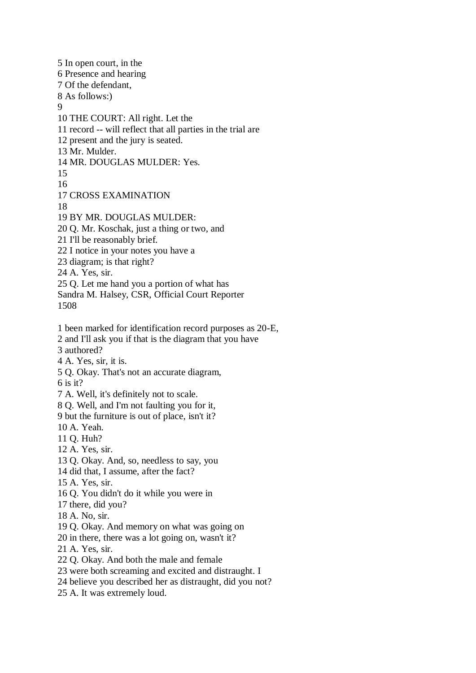5 In open court, in the 6 Presence and hearing 7 Of the defendant, 8 As follows:) 9 10 THE COURT: All right. Let the 11 record -- will reflect that all parties in the trial are 12 present and the jury is seated. 13 Mr. Mulder. 14 MR. DOUGLAS MULDER: Yes. 15 16 17 CROSS EXAMINATION 18 19 BY MR. DOUGLAS MULDER: 20 Q. Mr. Koschak, just a thing or two, and 21 I'll be reasonably brief. 22 I notice in your notes you have a 23 diagram; is that right? 24 A. Yes, sir. 25 Q. Let me hand you a portion of what has Sandra M. Halsey, CSR, Official Court Reporter 1508 1 been marked for identification record purposes as 20-E, 2 and I'll ask you if that is the diagram that you have 3 authored? 4 A. Yes, sir, it is. 5 Q. Okay. That's not an accurate diagram, 6 is it? 7 A. Well, it's definitely not to scale. 8 Q. Well, and I'm not faulting you for it, 9 but the furniture is out of place, isn't it? 10 A. Yeah. 11 Q. Huh? 12 A. Yes, sir. 13 Q. Okay. And, so, needless to say, you 14 did that, I assume, after the fact? 15 A. Yes, sir. 16 Q. You didn't do it while you were in 17 there, did you? 18 A. No, sir. 19 Q. Okay. And memory on what was going on 20 in there, there was a lot going on, wasn't it? 21 A. Yes, sir. 22 Q. Okay. And both the male and female 23 were both screaming and excited and distraught. I 24 believe you described her as distraught, did you not? 25 A. It was extremely loud.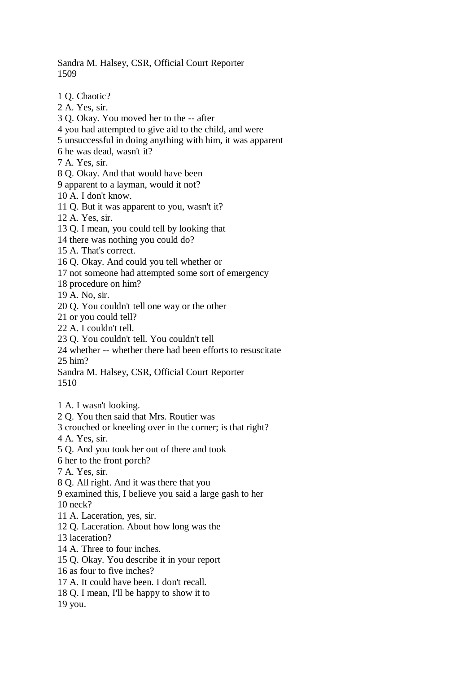Sandra M. Halsey, CSR, Official Court Reporter 1509

1 Q. Chaotic? 2 A. Yes, sir. 3 Q. Okay. You moved her to the -- after 4 you had attempted to give aid to the child, and were 5 unsuccessful in doing anything with him, it was apparent 6 he was dead, wasn't it? 7 A. Yes, sir. 8 Q. Okay. And that would have been 9 apparent to a layman, would it not? 10 A. I don't know. 11 Q. But it was apparent to you, wasn't it? 12 A. Yes, sir. 13 Q. I mean, you could tell by looking that 14 there was nothing you could do? 15 A. That's correct. 16 Q. Okay. And could you tell whether or 17 not someone had attempted some sort of emergency 18 procedure on him? 19 A. No, sir. 20 Q. You couldn't tell one way or the other 21 or you could tell? 22 A. I couldn't tell. 23 Q. You couldn't tell. You couldn't tell 24 whether -- whether there had been efforts to resuscitate 25 him? Sandra M. Halsey, CSR, Official Court Reporter 1510 1 A. I wasn't looking. 2 Q. You then said that Mrs. Routier was 3 crouched or kneeling over in the corner; is that right? 4 A. Yes, sir. 5 Q. And you took her out of there and took 6 her to the front porch? 7 A. Yes, sir. 8 Q. All right. And it was there that you 9 examined this, I believe you said a large gash to her 10 neck? 11 A. Laceration, yes, sir. 12 Q. Laceration. About how long was the 13 laceration? 14 A. Three to four inches. 15 Q. Okay. You describe it in your report 16 as four to five inches? 17 A. It could have been. I don't recall. 18 Q. I mean, I'll be happy to show it to 19 you.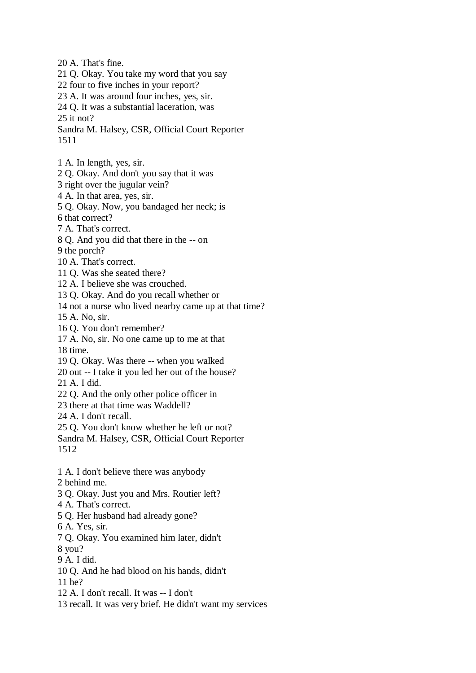20 A. That's fine.

- 21 Q. Okay. You take my word that you say
- 22 four to five inches in your report?
- 23 A. It was around four inches, yes, sir.
- 24 Q. It was a substantial laceration, was

25 it not?

- Sandra M. Halsey, CSR, Official Court Reporter 1511
- 1 A. In length, yes, sir.
- 2 Q. Okay. And don't you say that it was

3 right over the jugular vein?

- 4 A. In that area, yes, sir.
- 5 Q. Okay. Now, you bandaged her neck; is

6 that correct?

- 7 A. That's correct.
- 8 Q. And you did that there in the -- on
- 9 the porch?
- 10 A. That's correct.
- 11 Q. Was she seated there?
- 12 A. I believe she was crouched.
- 13 Q. Okay. And do you recall whether or
- 14 not a nurse who lived nearby came up at that time?
- 15 A. No, sir.
- 16 Q. You don't remember?
- 17 A. No, sir. No one came up to me at that 18 time.
- 19 Q. Okay. Was there -- when you walked
- 20 out -- I take it you led her out of the house?
- 21 A. I did.
- 22 Q. And the only other police officer in
- 23 there at that time was Waddell?
- 24 A. I don't recall.
- 25 Q. You don't know whether he left or not?
- Sandra M. Halsey, CSR, Official Court Reporter 1512
- 1 A. I don't believe there was anybody
- 2 behind me.
- 3 Q. Okay. Just you and Mrs. Routier left?
- 4 A. That's correct.
- 5 Q. Her husband had already gone?
- 6 A. Yes, sir.
- 7 Q. Okay. You examined him later, didn't
- 8 you?
- 9 A. I did.
- 10 Q. And he had blood on his hands, didn't
- 11 he?
- 12 A. I don't recall. It was -- I don't
- 13 recall. It was very brief. He didn't want my services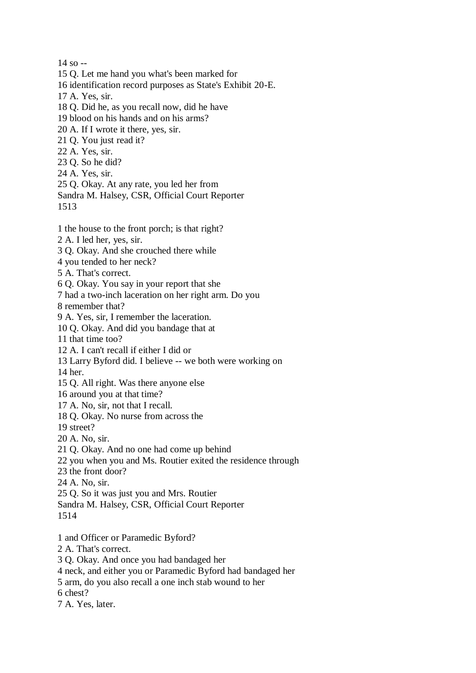14 so --

- 15 Q. Let me hand you what's been marked for
- 16 identification record purposes as State's Exhibit 20-E.
- 17 A. Yes, sir.
- 18 Q. Did he, as you recall now, did he have
- 19 blood on his hands and on his arms?
- 20 A. If I wrote it there, yes, sir.
- 21 Q. You just read it?
- 22 A. Yes, sir.
- 23 Q. So he did?
- 24 A. Yes, sir.
- 25 Q. Okay. At any rate, you led her from
- Sandra M. Halsey, CSR, Official Court Reporter
- 1513
- 1 the house to the front porch; is that right?
- 2 A. I led her, yes, sir.
- 3 Q. Okay. And she crouched there while
- 4 you tended to her neck?
- 5 A. That's correct.
- 6 Q. Okay. You say in your report that she
- 7 had a two-inch laceration on her right arm. Do you
- 8 remember that?
- 9 A. Yes, sir, I remember the laceration.
- 10 Q. Okay. And did you bandage that at
- 11 that time too?
- 12 A. I can't recall if either I did or
- 13 Larry Byford did. I believe -- we both were working on
- 14 her.
- 15 Q. All right. Was there anyone else
- 16 around you at that time?
- 17 A. No, sir, not that I recall.
- 18 Q. Okay. No nurse from across the
- 19 street?
- 20 A. No, sir.
- 21 Q. Okay. And no one had come up behind
- 22 you when you and Ms. Routier exited the residence through
- 23 the front door?
- 24 A. No, sir.
- 25 Q. So it was just you and Mrs. Routier
- Sandra M. Halsey, CSR, Official Court Reporter
- 1514
- 1 and Officer or Paramedic Byford?
- 2 A. That's correct.
- 3 Q. Okay. And once you had bandaged her
- 4 neck, and either you or Paramedic Byford had bandaged her
- 5 arm, do you also recall a one inch stab wound to her
- 6 chest?
- 7 A. Yes, later.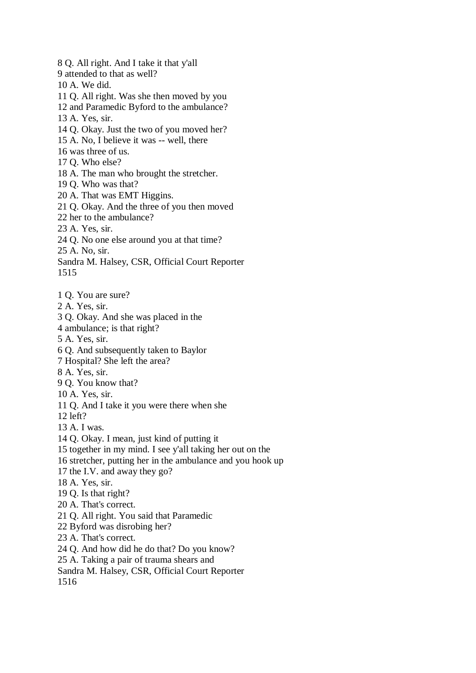8 Q. All right. And I take it that y'all 9 attended to that as well? 10 A. We did. 11 Q. All right. Was she then moved by you 12 and Paramedic Byford to the ambulance? 13 A. Yes, sir. 14 Q. Okay. Just the two of you moved her? 15 A. No, I believe it was -- well, there 16 was three of us. 17 Q. Who else? 18 A. The man who brought the stretcher. 19 Q. Who was that? 20 A. That was EMT Higgins. 21 Q. Okay. And the three of you then moved 22 her to the ambulance? 23 A. Yes, sir. 24 Q. No one else around you at that time? 25 A. No, sir. Sandra M. Halsey, CSR, Official Court Reporter 1515 1 Q. You are sure? 2 A. Yes, sir. 3 Q. Okay. And she was placed in the 4 ambulance; is that right? 5 A. Yes, sir. 6 Q. And subsequently taken to Baylor 7 Hospital? She left the area? 8 A. Yes, sir. 9 Q. You know that? 10 A. Yes, sir. 11 Q. And I take it you were there when she 12 left? 13 A. I was.

14 Q. Okay. I mean, just kind of putting it 15 together in my mind. I see y'all taking her out on the

16 stretcher, putting her in the ambulance and you hook up

17 the I.V. and away they go?

18 A. Yes, sir.

19 Q. Is that right?

20 A. That's correct.

21 Q. All right. You said that Paramedic

22 Byford was disrobing her?

23 A. That's correct.

24 Q. And how did he do that? Do you know?

25 A. Taking a pair of trauma shears and

Sandra M. Halsey, CSR, Official Court Reporter

1516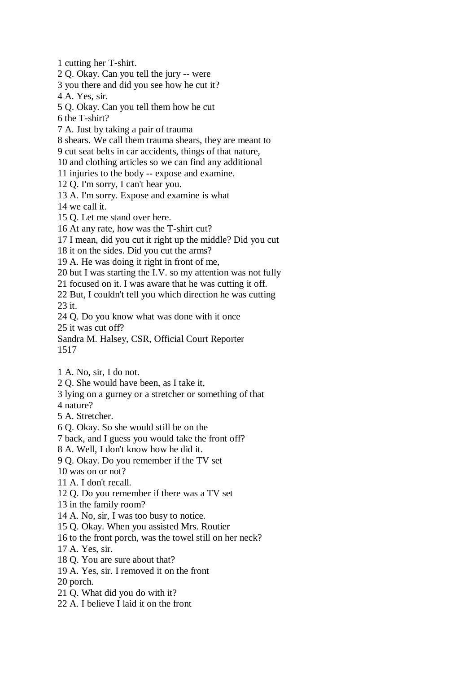1 cutting her T-shirt. 2 Q. Okay. Can you tell the jury -- were 3 you there and did you see how he cut it? 4 A. Yes, sir. 5 Q. Okay. Can you tell them how he cut 6 the T-shirt? 7 A. Just by taking a pair of trauma 8 shears. We call them trauma shears, they are meant to 9 cut seat belts in car accidents, things of that nature, 10 and clothing articles so we can find any additional 11 injuries to the body -- expose and examine. 12 Q. I'm sorry, I can't hear you. 13 A. I'm sorry. Expose and examine is what 14 we call it. 15 Q. Let me stand over here. 16 At any rate, how was the T-shirt cut? 17 I mean, did you cut it right up the middle? Did you cut 18 it on the sides. Did you cut the arms? 19 A. He was doing it right in front of me, 20 but I was starting the I.V. so my attention was not fully 21 focused on it. I was aware that he was cutting it off. 22 But, I couldn't tell you which direction he was cutting 23 it. 24 Q. Do you know what was done with it once 25 it was cut off? Sandra M. Halsey, CSR, Official Court Reporter 1517 1 A. No, sir, I do not. 2 Q. She would have been, as I take it, 3 lying on a gurney or a stretcher or something of that 4 nature? 5 A. Stretcher. 6 Q. Okay. So she would still be on the 7 back, and I guess you would take the front off? 8 A. Well, I don't know how he did it. 9 Q. Okay. Do you remember if the TV set 10 was on or not? 11 A. I don't recall. 12 Q. Do you remember if there was a TV set 13 in the family room? 14 A. No, sir, I was too busy to notice. 15 Q. Okay. When you assisted Mrs. Routier 16 to the front porch, was the towel still on her neck? 17 A. Yes, sir. 18 Q. You are sure about that? 19 A. Yes, sir. I removed it on the front 20 porch. 21 Q. What did you do with it? 22 A. I believe I laid it on the front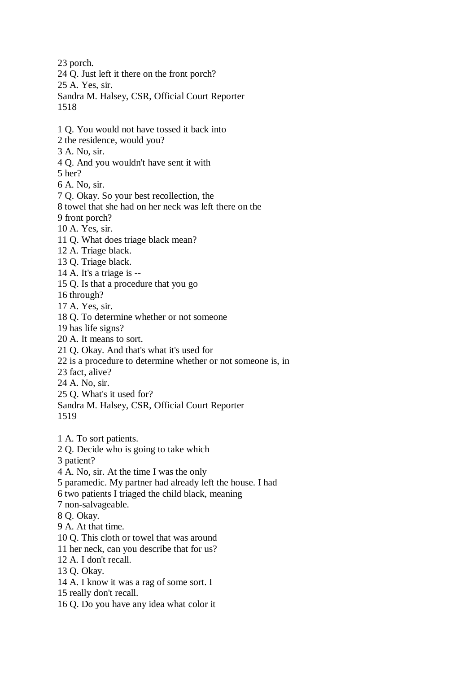23 porch. 24 Q. Just left it there on the front porch? 25 A. Yes, sir. Sandra M. Halsey, CSR, Official Court Reporter 1518 1 Q. You would not have tossed it back into 2 the residence, would you? 3 A. No, sir. 4 Q. And you wouldn't have sent it with 5 her? 6 A. No, sir. 7 Q. Okay. So your best recollection, the 8 towel that she had on her neck was left there on the 9 front porch? 10 A. Yes, sir. 11 Q. What does triage black mean? 12 A. Triage black. 13 Q. Triage black. 14 A. It's a triage is -- 15 Q. Is that a procedure that you go 16 through? 17 A. Yes, sir. 18 Q. To determine whether or not someone 19 has life signs? 20 A. It means to sort. 21 Q. Okay. And that's what it's used for 22 is a procedure to determine whether or not someone is, in 23 fact, alive? 24 A. No, sir. 25 Q. What's it used for? Sandra M. Halsey, CSR, Official Court Reporter 1519 1 A. To sort patients. 2 Q. Decide who is going to take which 3 patient? 4 A. No, sir. At the time I was the only 5 paramedic. My partner had already left the house. I had 6 two patients I triaged the child black, meaning 7 non-salvageable. 8 Q. Okay. 9 A. At that time. 10 Q. This cloth or towel that was around 11 her neck, can you describe that for us? 12 A. I don't recall. 13 Q. Okay. 14 A. I know it was a rag of some sort. I 15 really don't recall. 16 Q. Do you have any idea what color it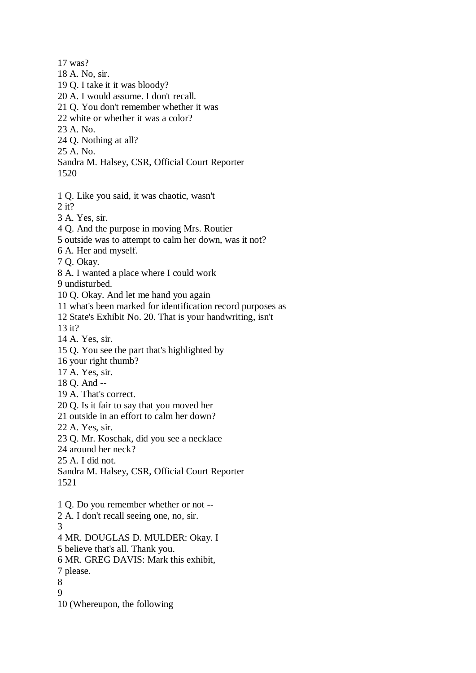17 was? 18 A. No, sir. 19 Q. I take it it was bloody? 20 A. I would assume. I don't recall. 21 Q. You don't remember whether it was 22 white or whether it was a color? 23 A. No. 24 Q. Nothing at all? 25 A. No. Sandra M. Halsey, CSR, Official Court Reporter 1520 1 Q. Like you said, it was chaotic, wasn't 2 it? 3 A. Yes, sir. 4 Q. And the purpose in moving Mrs. Routier 5 outside was to attempt to calm her down, was it not? 6 A. Her and myself. 7 Q. Okay. 8 A. I wanted a place where I could work 9 undisturbed. 10 Q. Okay. And let me hand you again 11 what's been marked for identification record purposes as 12 State's Exhibit No. 20. That is your handwriting, isn't 13 it? 14 A. Yes, sir. 15 Q. You see the part that's highlighted by 16 your right thumb? 17 A. Yes, sir. 18 Q. And -- 19 A. That's correct. 20 Q. Is it fair to say that you moved her 21 outside in an effort to calm her down? 22 A. Yes, sir. 23 Q. Mr. Koschak, did you see a necklace 24 around her neck? 25 A. I did not. Sandra M. Halsey, CSR, Official Court Reporter 1521 1 Q. Do you remember whether or not -- 2 A. I don't recall seeing one, no, sir. 3 4 MR. DOUGLAS D. MULDER: Okay. I 5 believe that's all. Thank you. 6 MR. GREG DAVIS: Mark this exhibit, 7 please. 8 9 10 (Whereupon, the following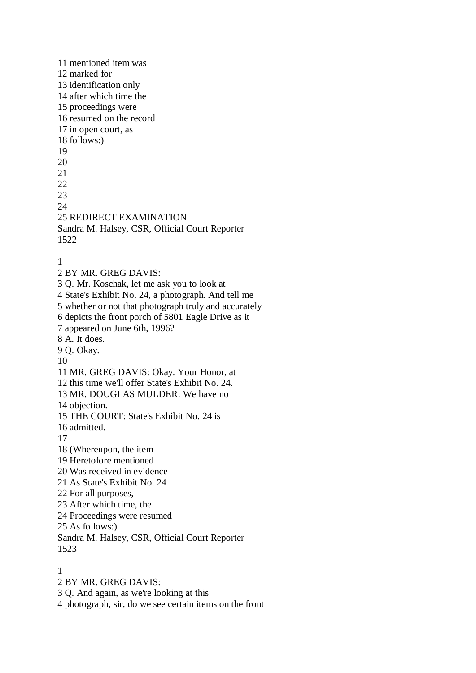11 mentioned item was 12 marked for 13 identification only 14 after which time the 15 proceedings were 16 resumed on the record 17 in open court, as 18 follows:) 19 20 21 22 23 24 25 REDIRECT EXAMINATION Sandra M. Halsey, CSR, Official Court Reporter 1522 1 2 BY MR. GREG DAVIS: 3 Q. Mr. Koschak, let me ask you to look at 4 State's Exhibit No. 24, a photograph. And tell me 5 whether or not that photograph truly and accurately 6 depicts the front porch of 5801 Eagle Drive as it 7 appeared on June 6th, 1996? 8 A. It does. 9 Q. Okay. 10 11 MR. GREG DAVIS: Okay. Your Honor, at 12 this time we'll offer State's Exhibit No. 24. 13 MR. DOUGLAS MULDER: We have no 14 objection. 15 THE COURT: State's Exhibit No. 24 is 16 admitted. 17 18 (Whereupon, the item 19 Heretofore mentioned 20 Was received in evidence 21 As State's Exhibit No. 24 22 For all purposes, 23 After which time, the 24 Proceedings were resumed 25 As follows:) Sandra M. Halsey, CSR, Official Court Reporter 1523 1

2 BY MR. GREG DAVIS:

3 Q. And again, as we're looking at this

4 photograph, sir, do we see certain items on the front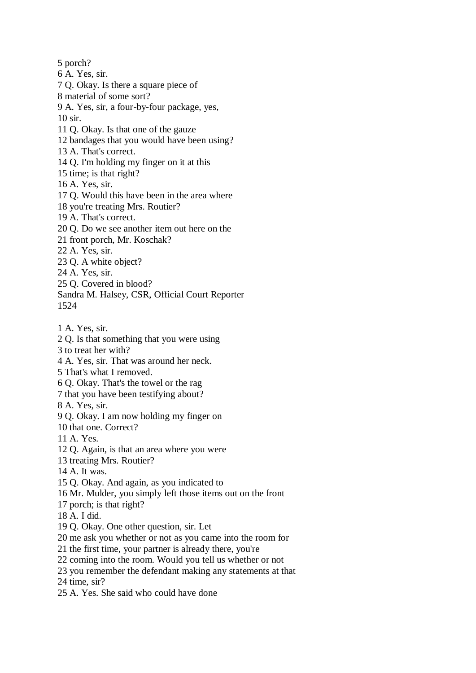5 porch? 6 A. Yes, sir. 7 Q. Okay. Is there a square piece of 8 material of some sort? 9 A. Yes, sir, a four-by-four package, yes, 10 sir. 11 Q. Okay. Is that one of the gauze 12 bandages that you would have been using? 13 A. That's correct. 14 Q. I'm holding my finger on it at this 15 time; is that right? 16 A. Yes, sir. 17 Q. Would this have been in the area where 18 you're treating Mrs. Routier? 19 A. That's correct. 20 Q. Do we see another item out here on the 21 front porch, Mr. Koschak? 22 A. Yes, sir. 23 Q. A white object? 24 A. Yes, sir. 25 Q. Covered in blood? Sandra M. Halsey, CSR, Official Court Reporter 1524 1 A. Yes, sir. 2 Q. Is that something that you were using 3 to treat her with? 4 A. Yes, sir. That was around her neck. 5 That's what I removed. 6 Q. Okay. That's the towel or the rag 7 that you have been testifying about? 8 A. Yes, sir. 9 Q. Okay. I am now holding my finger on 10 that one. Correct? 11 A. Yes. 12 Q. Again, is that an area where you were 13 treating Mrs. Routier? 14 A. It was. 15 Q. Okay. And again, as you indicated to 16 Mr. Mulder, you simply left those items out on the front 17 porch; is that right? 18 A. I did. 19 Q. Okay. One other question, sir. Let 20 me ask you whether or not as you came into the room for 21 the first time, your partner is already there, you're 22 coming into the room. Would you tell us whether or not 23 you remember the defendant making any statements at that 24 time, sir? 25 A. Yes. She said who could have done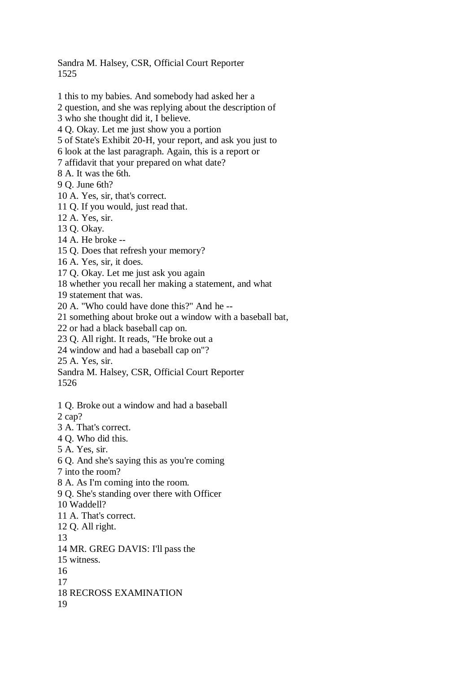Sandra M. Halsey, CSR, Official Court Reporter 1525

- 1 this to my babies. And somebody had asked her a
- 2 question, and she was replying about the description of
- 3 who she thought did it, I believe.
- 4 Q. Okay. Let me just show you a portion
- 5 of State's Exhibit 20-H, your report, and ask you just to
- 6 look at the last paragraph. Again, this is a report or
- 7 affidavit that your prepared on what date?
- 8 A. It was the 6th.
- 9 Q. June 6th?
- 10 A. Yes, sir, that's correct.
- 11 Q. If you would, just read that.
- 12 A. Yes, sir.
- 13 Q. Okay.
- 14 A. He broke --
- 15 Q. Does that refresh your memory?
- 16 A. Yes, sir, it does.
- 17 Q. Okay. Let me just ask you again
- 18 whether you recall her making a statement, and what

19 statement that was.

20 A. "Who could have done this?" And he --

21 something about broke out a window with a baseball bat,

22 or had a black baseball cap on.

- 23 Q. All right. It reads, "He broke out a
- 24 window and had a baseball cap on"?

25 A. Yes, sir.

Sandra M. Halsey, CSR, Official Court Reporter

- 1526
- 1 Q. Broke out a window and had a baseball
- 2 cap?
- 3 A. That's correct.
- 4 Q. Who did this.
- 5 A. Yes, sir.
- 6 Q. And she's saying this as you're coming
- 7 into the room?
- 8 A. As I'm coming into the room.
- 9 Q. She's standing over there with Officer
- 10 Waddell?
- 11 A. That's correct.
- 12 Q. All right.
- 13
- 14 MR. GREG DAVIS: I'll pass the
- 15 witness.
- 16
- 17
- 18 RECROSS EXAMINATION
- 19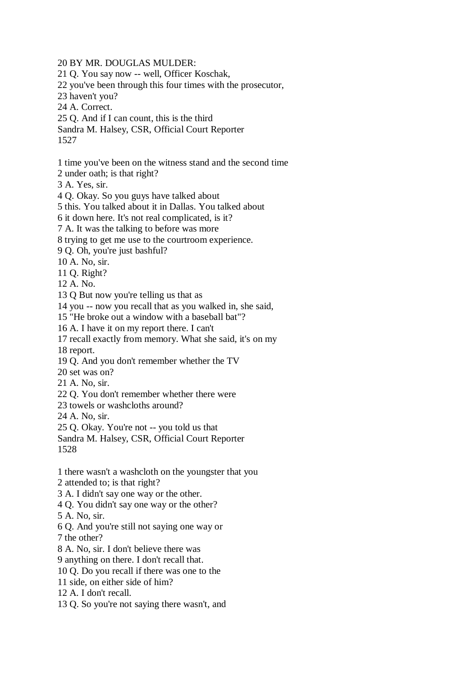20 BY MR. DOUGLAS MULDER: 21 Q. You say now -- well, Officer Koschak, 22 you've been through this four times with the prosecutor, 23 haven't you? 24 A. Correct. 25 Q. And if I can count, this is the third Sandra M. Halsey, CSR, Official Court Reporter 1527 1 time you've been on the witness stand and the second time 2 under oath; is that right? 3 A. Yes, sir. 4 Q. Okay. So you guys have talked about 5 this. You talked about it in Dallas. You talked about 6 it down here. It's not real complicated, is it? 7 A. It was the talking to before was more 8 trying to get me use to the courtroom experience. 9 Q. Oh, you're just bashful? 10 A. No, sir. 11 Q. Right? 12 A. No. 13 Q But now you're telling us that as 14 you -- now you recall that as you walked in, she said, 15 "He broke out a window with a baseball bat"? 16 A. I have it on my report there. I can't 17 recall exactly from memory. What she said, it's on my 18 report. 19 Q. And you don't remember whether the TV 20 set was on? 21 A. No, sir. 22 Q. You don't remember whether there were 23 towels or washcloths around? 24 A. No, sir. 25 Q. Okay. You're not -- you told us that Sandra M. Halsey, CSR, Official Court Reporter 1528 1 there wasn't a washcloth on the youngster that you 2 attended to; is that right? 3 A. I didn't say one way or the other. 4 Q. You didn't say one way or the other? 5 A. No, sir. 6 Q. And you're still not saying one way or 7 the other? 8 A. No, sir. I don't believe there was 9 anything on there. I don't recall that. 10 Q. Do you recall if there was one to the 11 side, on either side of him? 12 A. I don't recall. 13 Q. So you're not saying there wasn't, and